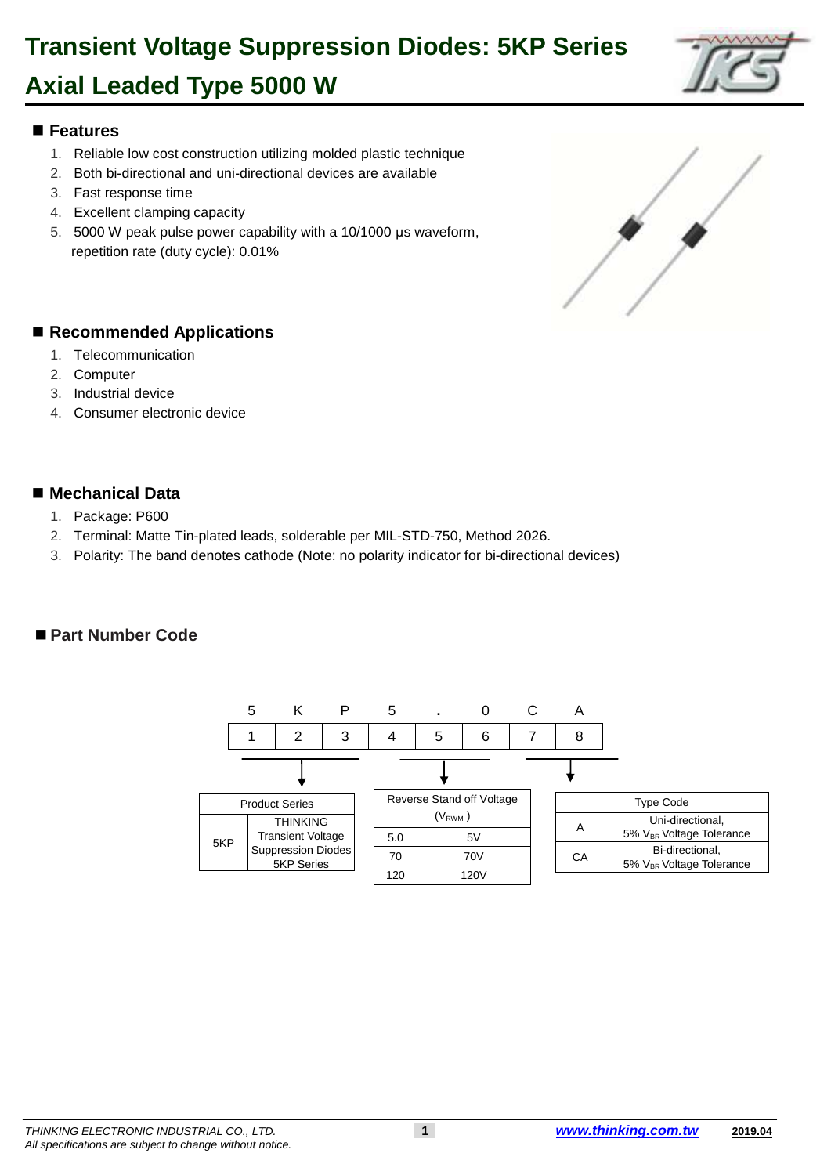### **Axial Leaded Type 5000 W**

### 1 **Features**

- 1. Reliable low cost construction utilizing molded plastic technique
- 3 2. Both bi-directional and uni-directional devices are available
- 3. Fast response time
- 4. Excellent clamping capacity
- 6 5. 5000 W peak pulse power capability with a 10/1000 μs waveform, repetition rate (duty cycle): 0.01%

#### ■ Recommended Applications

- 1. Telecommunication
- 2. Computer
- 3. Industrial device
- 4. Consumer electronic device

#### ■ Mechanical Data

- 20 1. Package: P600
- 2. Terminal: Matte Tin-plated leads, solderable per MIL-STD-750, Method 2026.
- 22 3. Polarity: The band denotes cathode (Note: no polarity indicator for bi-directional devices)

#### ■ Part Number Code





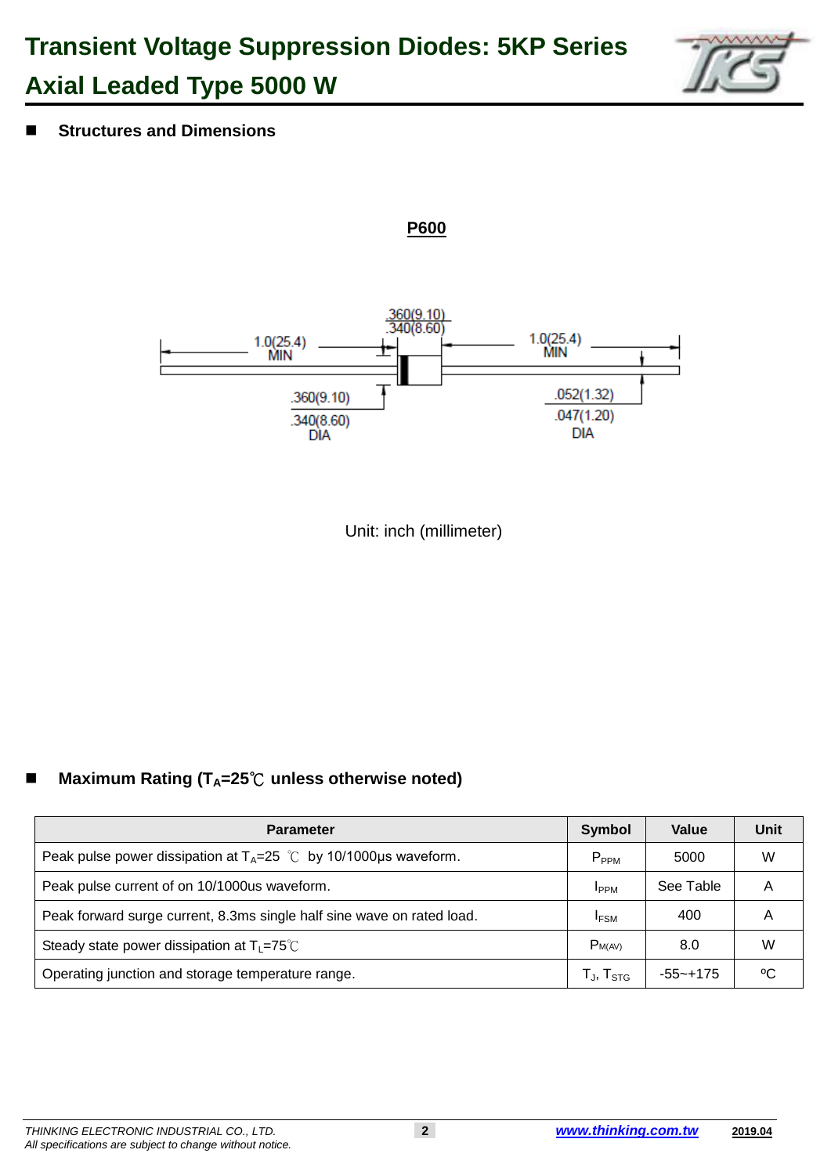## **Transient Voltage Suppression Diodes: 5KP Series Axial Leaded Type 5000 W**



43 **Structures and Dimensions**



**P600**

Unit: inch (millimeter)

#### 61 **Maximum Rating (TA=25**℃ **unless otherwise noted)**

| <b>Parameter</b>                                                       | <b>Symbol</b>       | Value     | Unit |
|------------------------------------------------------------------------|---------------------|-----------|------|
| Peak pulse power dissipation at $T_A=25$ °C by 10/1000µs waveform.     | $P_{PPM}$           | 5000      | W    |
| Peak pulse current of on 10/1000us waveform.                           | <b>IPPM</b>         | See Table | Α    |
| Peak forward surge current, 8.3ms single half sine wave on rated load. | <sup>I</sup> FSM    | 400       | А    |
| Steady state power dissipation at $T_L = 75^{\circ}C$                  | $P_{M(AV)}$         | 8.0       | W    |
| Operating junction and storage temperature range.                      | $T_{J}$ , $T_{STG}$ | -55~+175  | °C   |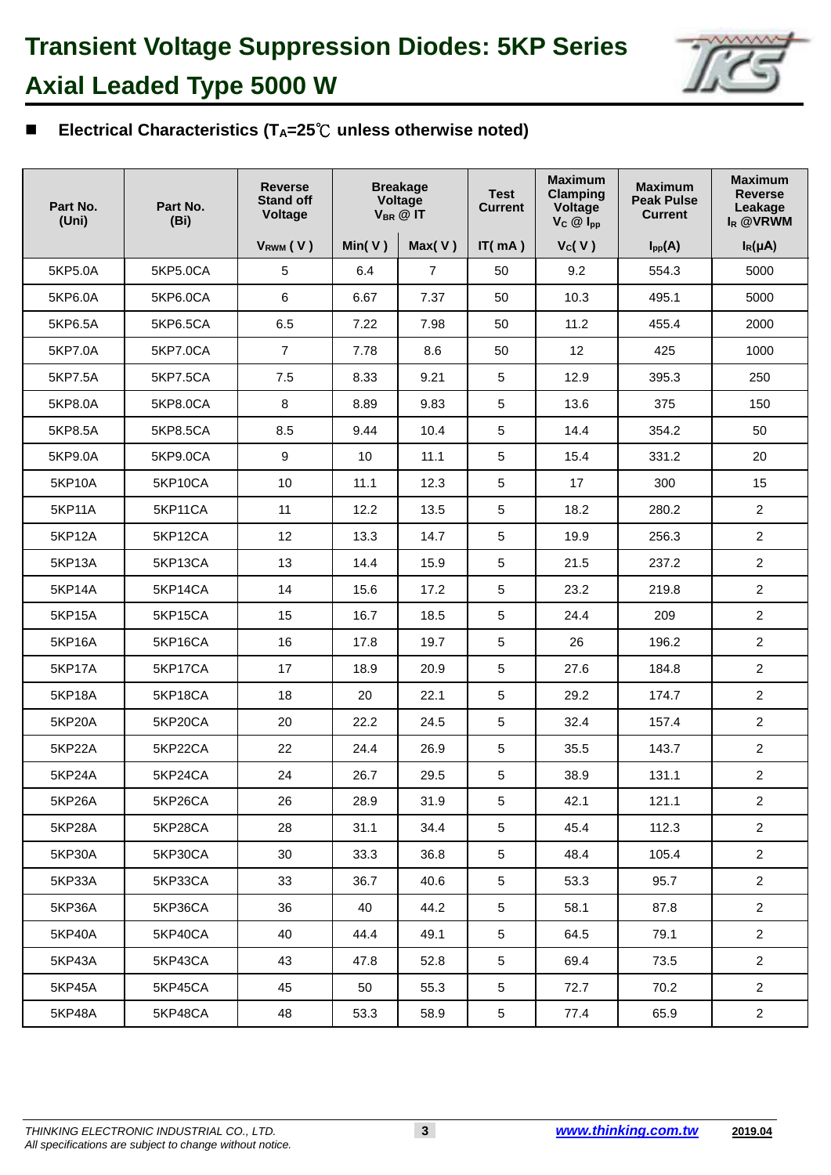

#### 68 **Electrical Characteristics (TA=25**℃ **unless otherwise noted)**

| Part No.<br>(Uni) | Part No.<br>(Bi) | <b>Reverse</b><br><b>Stand off</b><br><b>Voltage</b> |            | <b>Breakage</b><br>Voltage<br>$V_{BR}$ @ IT | <b>Test</b><br><b>Current</b> | <b>Maximum</b><br><b>Clamping</b><br>Voltage<br>$V_C \circledR I_{pp}$ | <b>Maximum</b><br><b>Peak Pulse</b><br><b>Current</b> | <b>Maximum</b><br><b>Reverse</b><br>Leakage<br>$I_R$ @VRWM |
|-------------------|------------------|------------------------------------------------------|------------|---------------------------------------------|-------------------------------|------------------------------------------------------------------------|-------------------------------------------------------|------------------------------------------------------------|
|                   |                  | $V_{RWM}$ (V)                                        | Min( $V$ ) | Max(V)                                      | IT(mA)                        | $V_c(V)$                                                               | $I_{\text{pp}}(A)$                                    | $I_R(\mu A)$                                               |
| 5KP5.0A           | 5KP5.0CA         | $\sqrt{5}$                                           | 6.4        | $\overline{7}$                              | 50                            | 9.2                                                                    | 554.3                                                 | 5000                                                       |
| 5KP6.0A           | 5KP6.0CA         | $6\phantom{1}$                                       | 6.67       | 7.37                                        | 50                            | 10.3                                                                   | 495.1                                                 | 5000                                                       |
| 5KP6.5A           | 5KP6.5CA         | 6.5                                                  | 7.22       | 7.98                                        | 50                            | 11.2                                                                   | 455.4                                                 | 2000                                                       |
| 5KP7.0A           | 5KP7.0CA         | $\overline{7}$                                       | 7.78       | 8.6                                         | 50                            | 12                                                                     | 425                                                   | 1000                                                       |
| 5KP7.5A           | 5KP7.5CA         | 7.5                                                  | 8.33       | 9.21                                        | 5                             | 12.9                                                                   | 395.3                                                 | 250                                                        |
| 5KP8.0A           | 5KP8.0CA         | 8                                                    | 8.89       | 9.83                                        | 5                             | 13.6                                                                   | 375                                                   | 150                                                        |
| 5KP8.5A           | 5KP8.5CA         | 8.5                                                  | 9.44       | 10.4                                        | 5                             | 14.4                                                                   | 354.2                                                 | 50                                                         |
| 5KP9.0A           | 5KP9.0CA         | $\boldsymbol{9}$                                     | 10         | 11.1                                        | 5                             | 15.4                                                                   | 331.2                                                 | 20                                                         |
| 5KP10A            | 5KP10CA          | 10                                                   | 11.1       | 12.3                                        | 5                             | 17                                                                     | 300                                                   | 15                                                         |
| 5KP11A            | 5KP11CA          | 11                                                   | 12.2       | 13.5                                        | 5                             | 18.2                                                                   | 280.2                                                 | $\overline{2}$                                             |
| <b>5KP12A</b>     | 5KP12CA          | 12                                                   | 13.3       | 14.7                                        | 5                             | 19.9                                                                   | 256.3                                                 | $\overline{2}$                                             |
| 5KP13A            | 5KP13CA          | 13                                                   | 14.4       | 15.9                                        | 5                             | 21.5                                                                   | 237.2                                                 | $\overline{2}$                                             |
| 5KP14A            | 5KP14CA          | 14                                                   | 15.6       | 17.2                                        | 5                             | 23.2                                                                   | 219.8                                                 | $\overline{2}$                                             |
| 5KP15A            | 5KP15CA          | 15                                                   | 16.7       | 18.5                                        | 5                             | 24.4                                                                   | 209                                                   | $\overline{2}$                                             |
| 5KP16A            | 5KP16CA          | 16                                                   | 17.8       | 19.7                                        | 5                             | 26                                                                     | 196.2                                                 | $\overline{2}$                                             |
| <b>5KP17A</b>     | 5KP17CA          | 17                                                   | 18.9       | 20.9                                        | 5                             | 27.6                                                                   | 184.8                                                 | $\overline{2}$                                             |
| <b>5KP18A</b>     | 5KP18CA          | 18                                                   | 20         | 22.1                                        | 5                             | 29.2                                                                   | 174.7                                                 | $\overline{2}$                                             |
| 5KP20A            | 5KP20CA          | 20                                                   | 22.2       | 24.5                                        | 5                             | 32.4                                                                   | 157.4                                                 | $\overline{2}$                                             |
| 5KP22A            | 5KP22CA          | 22                                                   | 24.4       | 26.9                                        | 5                             | 35.5                                                                   | 143.7                                                 | $\overline{2}$                                             |
| <b>5KP24A</b>     | 5KP24CA          | 24                                                   | 26.7       | 29.5                                        | 5                             | 38.9                                                                   | 131.1                                                 | $\overline{c}$                                             |
| 5KP26A            | 5KP26CA          | 26                                                   | 28.9       | 31.9                                        | 5                             | 42.1                                                                   | 121.1                                                 | $\overline{2}$                                             |
| 5KP28A            | 5KP28CA          | 28                                                   | 31.1       | 34.4                                        | 5                             | 45.4                                                                   | 112.3                                                 | $\overline{2}$                                             |
| 5KP30A            | 5KP30CA          | 30                                                   | 33.3       | 36.8                                        | 5                             | 48.4                                                                   | 105.4                                                 | $\overline{2}$                                             |
| 5KP33A            | 5KP33CA          | 33                                                   | 36.7       | 40.6                                        | 5                             | 53.3                                                                   | 95.7                                                  | $\overline{2}$                                             |
| 5KP36A            | 5KP36CA          | 36                                                   | 40         | 44.2                                        | 5                             | 58.1                                                                   | 87.8                                                  | $\overline{2}$                                             |
| 5KP40A            | 5KP40CA          | 40                                                   | 44.4       | 49.1                                        | 5                             | 64.5                                                                   | 79.1                                                  | $\overline{2}$                                             |
| 5KP43A            | 5KP43CA          | 43                                                   | 47.8       | 52.8                                        | 5                             | 69.4                                                                   | 73.5                                                  | $\overline{2}$                                             |
| 5KP45A            | 5KP45CA          | 45                                                   | 50         | 55.3                                        | 5                             | 72.7                                                                   | 70.2                                                  | $\overline{2}$                                             |
| 5KP48A            | 5KP48CA          | 48                                                   | 53.3       | 58.9                                        | $5\phantom{.0}$               | 77.4                                                                   | 65.9                                                  | $\overline{2}$                                             |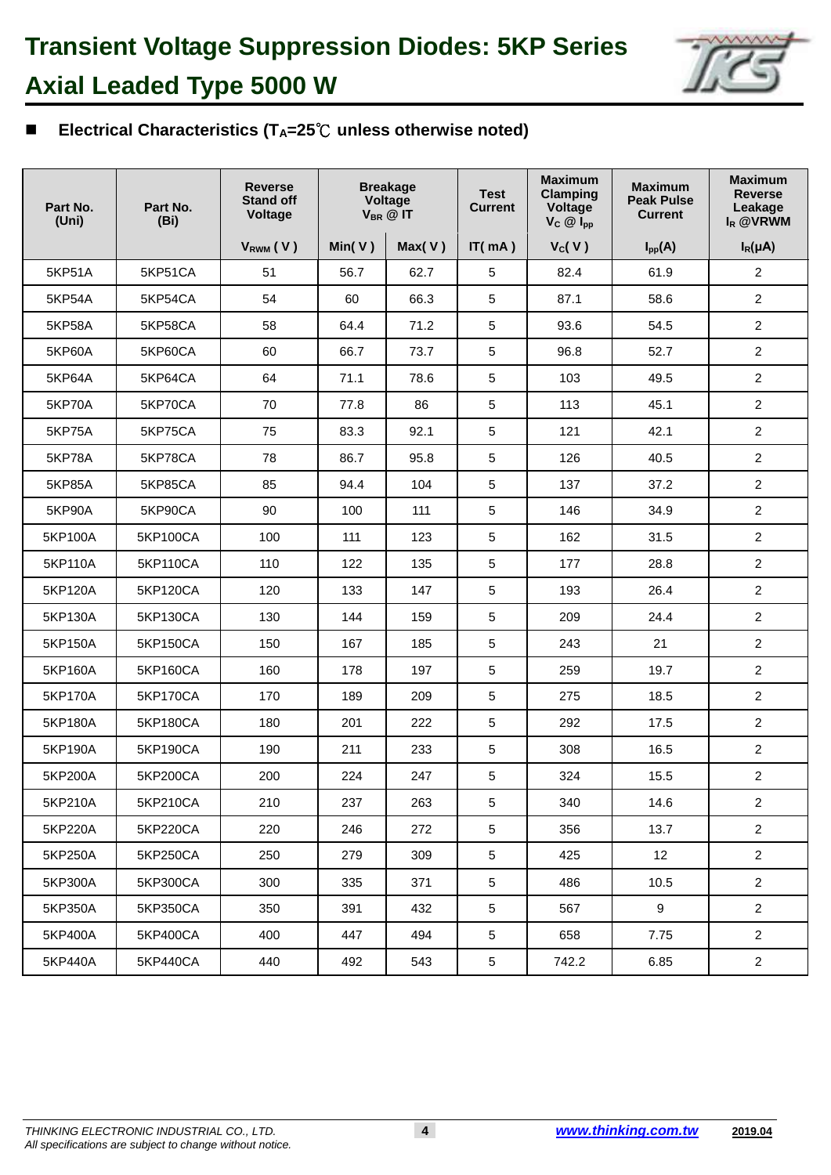

#### 73 **Electrical Characteristics (TA=25**℃ **unless otherwise noted)**

| Part No.<br>(Uni) | Part No.<br>(Bi) | <b>Reverse</b><br><b>Stand off</b><br><b>Voltage</b> |        | <b>Breakage</b><br>Voltage<br>$V_{BR}$ @ IT | <b>Test</b><br><b>Current</b> | <b>Maximum</b><br><b>Clamping</b><br>Voltage<br>$V_C \otimes I_{pp}$ | <b>Maximum</b><br><b>Peak Pulse</b><br><b>Current</b> | <b>Maximum</b><br><b>Reverse</b><br>Leakage<br>$I_R$ @VRWM |
|-------------------|------------------|------------------------------------------------------|--------|---------------------------------------------|-------------------------------|----------------------------------------------------------------------|-------------------------------------------------------|------------------------------------------------------------|
|                   |                  | V <sub>RWM</sub> (V)                                 | Min(V) | Max(V)                                      | IT(mA)                        | $V_c(V)$                                                             | $I_{pp}(A)$                                           | $I_R(\mu A)$                                               |
| 5KP51A            | 5KP51CA          | 51                                                   | 56.7   | 62.7                                        | 5                             | 82.4                                                                 | 61.9                                                  | $\overline{2}$                                             |
| <b>5KP54A</b>     | 5KP54CA          | 54                                                   | 60     | 66.3                                        | 5                             | 87.1                                                                 | 58.6                                                  | $\overline{2}$                                             |
| 5KP58A            | 5KP58CA          | 58                                                   | 64.4   | 71.2                                        | 5                             | 93.6                                                                 | 54.5                                                  | $\overline{a}$                                             |
| 5KP60A            | 5KP60CA          | 60                                                   | 66.7   | 73.7                                        | 5                             | 96.8                                                                 | 52.7                                                  | $\overline{c}$                                             |
| 5KP64A            | 5KP64CA          | 64                                                   | 71.1   | 78.6                                        | 5                             | 103                                                                  | 49.5                                                  | $\overline{a}$                                             |
| <b>5KP70A</b>     | 5KP70CA          | 70                                                   | 77.8   | 86                                          | 5                             | 113                                                                  | 45.1                                                  | $\overline{c}$                                             |
| <b>5KP75A</b>     | 5KP75CA          | 75                                                   | 83.3   | 92.1                                        | 5                             | 121                                                                  | 42.1                                                  | $\overline{2}$                                             |
| <b>5KP78A</b>     | 5KP78CA          | 78                                                   | 86.7   | 95.8                                        | 5                             | 126                                                                  | 40.5                                                  | $\overline{a}$                                             |
| 5KP85A            | <b>5KP85CA</b>   | 85                                                   | 94.4   | 104                                         | 5                             | 137                                                                  | 37.2                                                  | $\overline{2}$                                             |
| 5KP90A            | 5KP90CA          | 90                                                   | 100    | 111                                         | 5                             | 146                                                                  | 34.9                                                  | $\overline{c}$                                             |
| 5KP100A           | 5KP100CA         | 100                                                  | 111    | 123                                         | 5                             | 162                                                                  | 31.5                                                  | $\overline{a}$                                             |
| 5KP110A           | 5KP110CA         | 110                                                  | 122    | 135                                         | 5                             | 177                                                                  | 28.8                                                  | $\overline{2}$                                             |
| 5KP120A           | 5KP120CA         | 120                                                  | 133    | 147                                         | 5                             | 193                                                                  | 26.4                                                  | $\overline{2}$                                             |
| 5KP130A           | 5KP130CA         | 130                                                  | 144    | 159                                         | 5                             | 209                                                                  | 24.4                                                  | $\overline{2}$                                             |
| 5KP150A           | 5KP150CA         | 150                                                  | 167    | 185                                         | 5                             | 243                                                                  | 21                                                    | $\boldsymbol{2}$                                           |
| 5KP160A           | 5KP160CA         | 160                                                  | 178    | 197                                         | 5                             | 259                                                                  | 19.7                                                  | $\overline{2}$                                             |
| 5KP170A           | 5KP170CA         | 170                                                  | 189    | 209                                         | 5                             | 275                                                                  | 18.5                                                  | $\overline{2}$                                             |
| 5KP180A           | 5KP180CA         | 180                                                  | 201    | 222                                         | 5                             | 292                                                                  | 17.5                                                  | $\overline{c}$                                             |
| 5KP190A           | 5KP190CA         | 190                                                  | 211    | 233                                         | 5                             | 308                                                                  | 16.5                                                  | $\overline{2}$                                             |
| 5KP200A           | 5KP200CA         | 200                                                  | 224    | 247                                         | 5                             | 324                                                                  | 15.5                                                  | $\overline{a}$                                             |
| 5KP210A           | 5KP210CA         | 210                                                  | 237    | 263                                         | $\sqrt{5}$                    | 340                                                                  | 14.6                                                  | $\overline{2}$                                             |
| 5KP220A           | 5KP220CA         | 220                                                  | 246    | 272                                         | 5                             | 356                                                                  | 13.7                                                  | $\overline{2}$                                             |
| 5KP250A           | 5KP250CA         | 250                                                  | 279    | 309                                         | 5                             | 425                                                                  | 12                                                    | $\overline{2}$                                             |
| 5KP300A           | 5KP300CA         | 300                                                  | 335    | 371                                         | 5                             | 486                                                                  | 10.5                                                  | $\overline{2}$                                             |
| 5KP350A           | 5KP350CA         | 350                                                  | 391    | 432                                         | 5                             | 567                                                                  | 9                                                     | $\overline{2}$                                             |
| 5KP400A           | 5KP400CA         | 400                                                  | 447    | 494                                         | 5                             | 658                                                                  | 7.75                                                  | $\overline{2}$                                             |
| 5KP440A           | 5KP440CA         | 440                                                  | 492    | 543                                         | $5\phantom{.0}$               | 742.2                                                                | 6.85                                                  | $\overline{2}$                                             |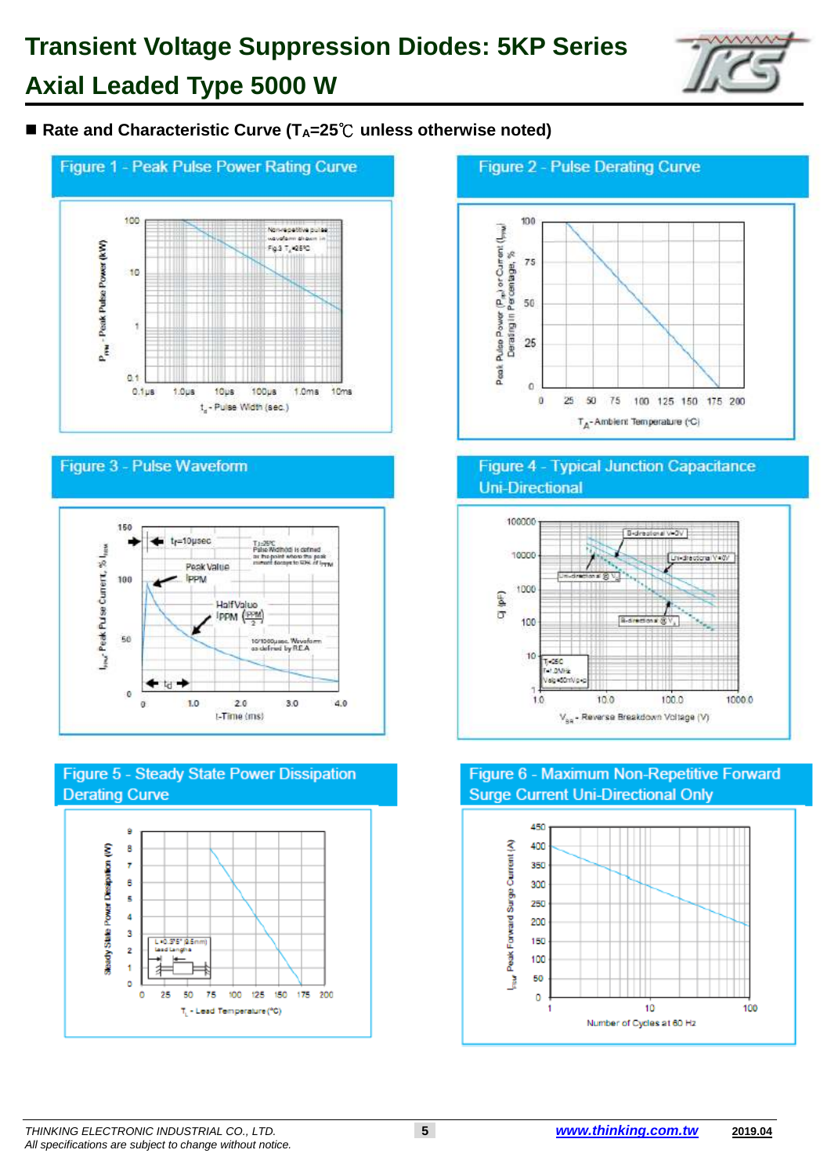# **Transient Voltage Suppression Diodes: 5KP Series Axial Leaded Type 5000 W**



#### ■ Rate and Characteristic Curve (T<sub>A</sub>=25<sup>°</sup>C unless otherwise noted)



#### Figure 3 - Pulse Waveform









#### **Figure 4 - Typical Junction Capacitance Uni-Directional**



#### Figure 6 - Maximum Non-Repetitive Forward **Surge Current Uni-Directional Only**



#### *THINKING ELECTRONIC INDUSTRIAL CO., LTD.* **5** *[www.thinking.com.tw](http://www.thinking.com.tw/)* **2019.04** *All specifications are subject to change without notice.*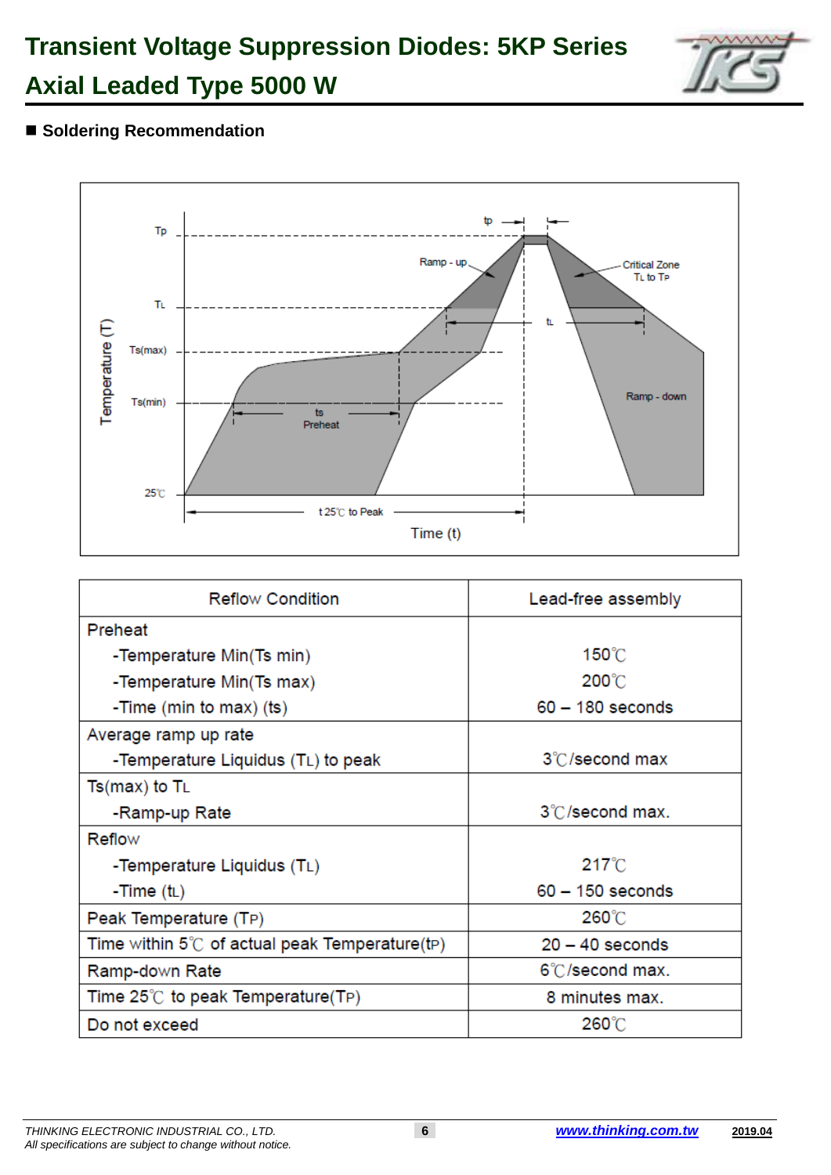## **Transient Voltage Suppression Diodes: 5KP Series Axial Leaded Type 5000 W**



#### $\blacksquare$  **Soldering Recommendation**



| <b>Reflow Condition</b>                        | Lead-free assembly |  |  |
|------------------------------------------------|--------------------|--|--|
| Preheat                                        |                    |  |  |
| -Temperature Min(Ts min)                       | 150°C              |  |  |
| -Temperature Min(Ts max)                       | $200^{\circ}$ C    |  |  |
| -Time (min to max) (ts)                        | $60 - 180$ seconds |  |  |
| Average ramp up rate                           |                    |  |  |
| -Temperature Liquidus (TL) to peak             | 3°C/second max     |  |  |
| $Ts(max)$ to $T_L$                             |                    |  |  |
| -Ramp-up Rate                                  | 3°C/second max.    |  |  |
| Reflow                                         |                    |  |  |
| -Temperature Liquidus (TL)                     | $217^{\circ}$ C    |  |  |
| -Time $(t_L)$                                  | $60 - 150$ seconds |  |  |
| Peak Temperature (TP)                          | 260°C              |  |  |
| Time within 5°C of actual peak Temperature(tP) | $20 - 40$ seconds  |  |  |
| Ramp-down Rate                                 | 6°C/second max.    |  |  |
| Time 25℃ to peak Temperature(TP)               | 8 minutes max.     |  |  |
| Do not exceed                                  | 260°C              |  |  |